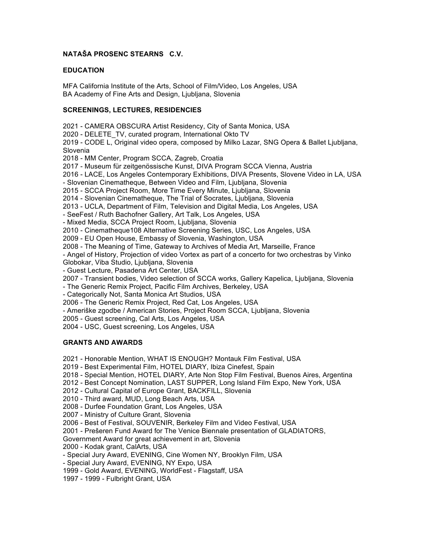# **NATAŠA PROSENC STEARNS C.V.**

#### **EDUCATION**

MFA California Institute of the Arts, School of Film/Video, Los Angeles, USA BA Academy of Fine Arts and Design, Ljubljana, Slovenia

#### **SCREENINGS, LECTURES, RESIDENCIES**

2021 - CAMERA OBSCURA Artist Residency, City of Santa Monica, USA 2020 - DELETE\_TV, curated program, International Okto TV 2019 - CODE L, Original video opera, composed by Milko Lazar, SNG Opera & Ballet Ljubljana, Slovenia

2018 - MM Center, Program SCCA, Zagreb, Croatia

2017 - Museum für zeitgenössische Kunst, DIVA Program SCCA Vienna, Austria

2016 - LACE, Los Angeles Contemporary Exhibitions, DIVA Presents, Slovene Video in LA, USA

- Slovenian Cinematheque, Between Video and Film, Ljubljana, Slovenia

2015 - SCCA Project Room, More Time Every Minute, Ljubljana, Slovenia

2014 - Slovenian Cinematheque, The Trial of Socrates, Ljubljana, Slovenia

2013 - UCLA, Department of Film, Television and Digital Media, Los Angeles, USA

- SeeFest / Ruth Bachofner Gallery, Art Talk, Los Angeles, USA

- Mixed Media, SCCA Project Room, Ljubljana, Slovenia

2010 - Cinematheque108 Alternative Screening Series, USC, Los Angeles, USA

2009 - EU Open House, Embassy of Slovenia, Washington, USA

2008 - The Meaning of Time, Gateway to Archives of Media Art, Marseille, France

- Angel of History, Projection of video Vortex as part of a concerto for two orchestras by Vinko Globokar, Viba Studio, Ljubljana, Slovenia

- Guest Lecture, Pasadena Art Center, USA

2007 - Transient bodies, Video selection of SCCA works, Gallery Kapelica, Ljubljana, Slovenia

- The Generic Remix Project, Pacific Film Archives, Berkeley, USA

- Categorically Not, Santa Monica Art Studios, USA

2006 - The Generic Remix Project, Red Cat, Los Angeles, USA

- Ameriške zgodbe / American Stories, Project Room SCCA, Ljubljana, Slovenia

2005 - Guest screening, Cal Arts, Los Angeles, USA

2004 - USC, Guest screening, Los Angeles, USA

## **GRANTS AND AWARDS**

2021 - Honorable Mention, WHAT IS ENOUGH? Montauk Film Festival, USA

2019 - Best Experimental Film, HOTEL DIARY, Ibiza Cinefest, Spain

- 2018 Special Mention, HOTEL DIARY, Arte Non Stop Film Festival, Buenos Aires, Argentina
- 2012 Best Concept Nomination, LAST SUPPER, Long Island Film Expo, New York, USA
- 2012 Cultural Capital of Europe Grant, BACKFILL, Slovenia
- 2010 Third award, MUD, Long Beach Arts, USA

2008 - Durfee Foundation Grant, Los Angeles, USA

2007 - Ministry of Culture Grant, Slovenia

2006 - Best of Festival, SOUVENIR, Berkeley Film and Video Festival, USA

2001 - Prešeren Fund Award for The Venice Biennale presentation of GLADIATORS,

Government Award for great achievement in art, Slovenia

2000 - Kodak grant, CalArts, USA

- Special Jury Award, EVENING, Cine Women NY, Brooklyn Film, USA

- Special Jury Award, EVENING, NY Expo, USA

1999 - Gold Award, EVENING, WorldFest - Flagstaff, USA

1997 - 1999 - Fulbright Grant, USA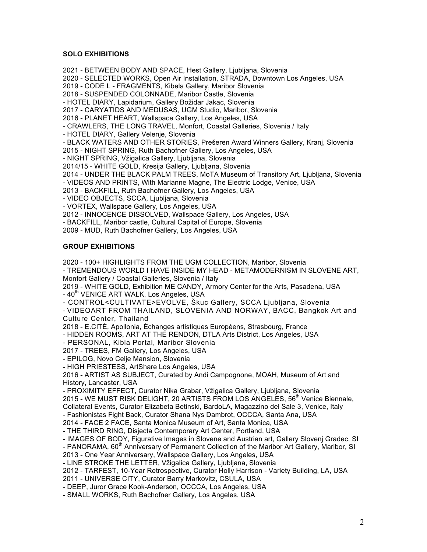## **SOLO EXHIBITIONS**

2021 - BETWEEN BODY AND SPACE, Hest Gallery, Ljubljana, Slovenia 2020 - SELECTED WORKS, Open Air Installation, STRADA, Downtown Los Angeles, USA 2019 - CODE L - FRAGMENTS, Kibela Gallery, Maribor Slovenia 2018 - SUSPENDED COLONNADE, Maribor Castle, Slovenia - HOTEL DIARY, Lapidarium, Gallery Božidar Jakac, Slovenia 2017 - CARYATIDS AND MEDUSAS, UGM Studio, Maribor, Slovenia 2016 - PLANET HEART, Wallspace Gallery, Los Angeles, USA - CRAWLERS, THE LONG TRAVEL, Monfort, Coastal Galleries, Slovenia / Italy - HOTEL DIARY, Gallery Velenje, Slovenia - BLACK WATERS AND OTHER STORIES, Prešeren Award Winners Gallery, Kranj, Slovenia 2015 - NIGHT SPRING, Ruth Bachofner Gallery, Los Angeles, USA - NIGHT SPRING, Vžigalica Gallery, Ljubljana, Slovenia 2014/15 - WHITE GOLD, Kresija Gallery, Ljubljana, Slovenia 2014 - UNDER THE BLACK PALM TREES, MoTA Museum of Transitory Art, Ljubljana, Slovenia - VIDEOS AND PRINTS, With Marianne Magne, The Electric Lodge, Venice, USA 2013 - BACKFILL, Ruth Bachofner Gallery, Los Angeles, USA - VIDEO OBJECTS, SCCA, Ljubljana, Slovenia - VORTEX, Wallspace Gallery, Los Angeles, USA

2012 - INNOCENCE DISSOLVED, Wallspace Gallery, Los Angeles, USA - BACKFILL, Maribor castle, Cultural Capital of Europe, Slovenia

2009 - MUD, Ruth Bachofner Gallery, Los Angeles, USA

# **GROUP EXHIBITIONS**

2020 - 100+ HIGHLIGHTS FROM THE UGM COLLECTION, Maribor, Slovenia

- TREMENDOUS WORLD I HAVE INSIDE MY HEAD - METAMODERNISM IN SLOVENE ART, Monfort Gallery / Coastal Galleries, Slovenia / Italy

2019 - WHITE GOLD, Exhibition ME CANDY, Armory Center for the Arts, Pasadena, USA

- 40<sup>th</sup> VENICE ART WALK, Los Angeles, USA

- CONTROL<CULTIVATE>EVOLVE, Škuc Gallery, SCCA Ljubljana, Slovenia

- VIDEOART FROM THAILAND, SLOVENIA AND NORWAY, BACC, Bangkok Art and Culture Center, Thailand

2018 - E.CITÉ, Apollonia, Échanges artistiques Européens, Strasbourg, France

- HIDDEN ROOMS, ART AT THE RENDON, DTLA Arts District, Los Angeles, USA

- PERSONAL, Kibla Portal, Maribor Slovenia

2017 - TREES, FM Gallery, Los Angeles, USA

- EPILOG, Novo Celje Mansion, Slovenia

- HIGH PRIESTESS, ArtShare Los Angeles, USA

2016 - ARTIST AS SUBJECT, Curated by Andi Campognone, MOAH, Museum of Art and History, Lancaster, USA

- PROXIMITY EFFECT, Curator Nika Grabar, Vžigalica Gallery, Ljubljana, Slovenia

2015 - WE MUST RISK DELIGHT, 20 ARTISTS FROM LOS ANGELES, 56<sup>th</sup> Venice Biennale, Collateral Events, Curator Elizabeta Betinski, BardoLA, Magazzino del Sale 3, Venice, Italy

- Fashionistas Fight Back, Curator Shana Nys Dambrot, OCCCA, Santa Ana, USA

2014 - FACE 2 FACE, Santa Monica Museum of Art, Santa Monica, USA

- THE THIRD RING, Disjecta Contemporary Art Center, Portland, USA

- IMAGES OF BODY, Figurative Images in Slovene and Austrian art, Gallery Slovenj Gradec, SI

- PANORAMA, 60<sup>th</sup> Anniversary of Permanent Collection of the Maribor Art Gallery, Maribor, SI

2013 - One Year Anniversary, Wallspace Gallery, Los Angeles, USA

- LINE STROKE THE LETTER, Vžigalica Gallery, Ljubljana, Slovenia

2012 - TARFEST, 10-Year Retrospective, Curator Holly Harrison - Variety Building, LA, USA

2011 - UNIVERSE CITY, Curator Barry Markovitz, CSULA, USA

- DEEP, Juror Grace Kook-Anderson, OCCCA, Los Angeles, USA

- SMALL WORKS, Ruth Bachofner Gallery, Los Angeles, USA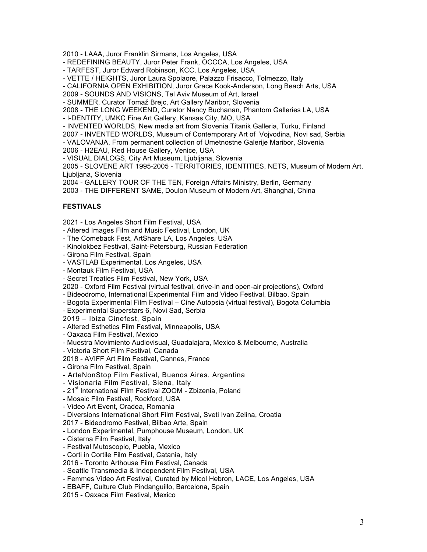2010 - LAAA, Juror Franklin Sirmans, Los Angeles, USA

- REDEFINING BEAUTY, Juror Peter Frank, OCCCA, Los Angeles, USA

- TARFEST, Juror Edward Robinson, KCC, Los Angeles, USA

- VETTE / HEIGHTS, Juror Laura Spolaore, Palazzo Frisacco, Tolmezzo, Italy

- CALIFORNIA OPEN EXHIBITION, Juror Grace Kook-Anderson, Long Beach Arts, USA

2009 - SOUNDS AND VISIONS, Tel Aviv Museum of Art, Israel

- SUMMER, Curator Tomaž Brejc, Art Gallery Maribor, Slovenia

2008 - THE LONG WEEKEND, Curator Nancy Buchanan, Phantom Galleries LA, USA

- I-DENTITY, UMKC Fine Art Gallery, Kansas City, MO, USA

- INVENTED WORLDS, New media art from Slovenia Titanik Galleria, Turku, Finland

2007 - INVENTED WORLDS, Museum of Contemporary Art of Vojvodina, Novi sad, Serbia

- VALOVANJA, From permanent collection of Umetnostne Galerije Maribor, Slovenia

2006 - H2EAU, Red House Gallery, Venice, USA

- VISUAL DIALOGS, City Art Museum, Ljubljana, Slovenia

2005 - SLOVENE ART 1995-2005 - TERRITORIES, IDENTITIES, NETS, Museum of Modern Art, Ljubljana, Slovenia

2004 - GALLERY TOUR OF THE TEN, Foreign Affairs Ministry, Berlin, Germany

2003 - THE DIFFERENT SAME, Doulon Museum of Modern Art, Shanghai, China

## **FESTIVALS**

2021 - Los Angeles Short Film Festival, USA

- Altered Images Film and Music Festival, London, UK

- The Comeback Fest, ArtShare LA, Los Angeles, USA

- Kinolokbez Festival, Saint-Petersburg, Russian Federation

- Girona Film Festival, Spain

- VASTLAB Experimental, Los Angeles, USA

- Montauk Film Festival, USA

- Secret Treaties Film Festival, New York, USA

2020 - Oxford Film Festival (virtual festival, drive-in and open-air projections), Oxford

- Bideodromo, International Experimental Film and Video Festival, Bilbao, Spain

- Bogota Experimental Film Festival – Cine Autopsia (virtual festival), Bogota Columbia

- Experimental Superstars 6, Novi Sad, Serbia

2019 – Ibiza Cinefest, Spain

- Altered Esthetics Film Festival, Minneapolis, USA

- Oaxaca Film Festival, Mexico

- Muestra Movimiento Audiovisual, Guadalajara, Mexico & Melbourne, Australia

- Victoria Short Film Festival, Canada

2018 - AVIFF Art Film Festival, Cannes, France

- Girona Film Festival, Spain

- ArteNonStop Film Festival, Buenos Aires, Argentina

- Visionaria Film Festival, Siena, Italy

- 21<sup>st</sup> International Film Festival ZOOM - Zbizenia, Poland

- Mosaic Film Festival, Rockford, USA

- Video Art Event, Oradea, Romania

- Diversions International Short Film Festival, Sveti Ivan Zelina, Croatia

2017 - Bideodromo Festival, Bilbao Arte, Spain

- London Experimental, Pumphouse Museum, London, UK

- Cisterna Film Festival, Italy

- Festival Mutoscopio, Puebla, Mexico

- Corti in Cortile Film Festival, Catania, Italy

2016 - Toronto Arthouse Film Festival, Canada

- Seattle Transmedia & Independent Film Festival, USA

- Femmes Video Art Festival, Curated by Micol Hebron, LACE, Los Angeles, USA

- EBAFF, Culture Club Pindanguillo, Barcelona, Spain

2015 - Oaxaca Film Festival, Mexico